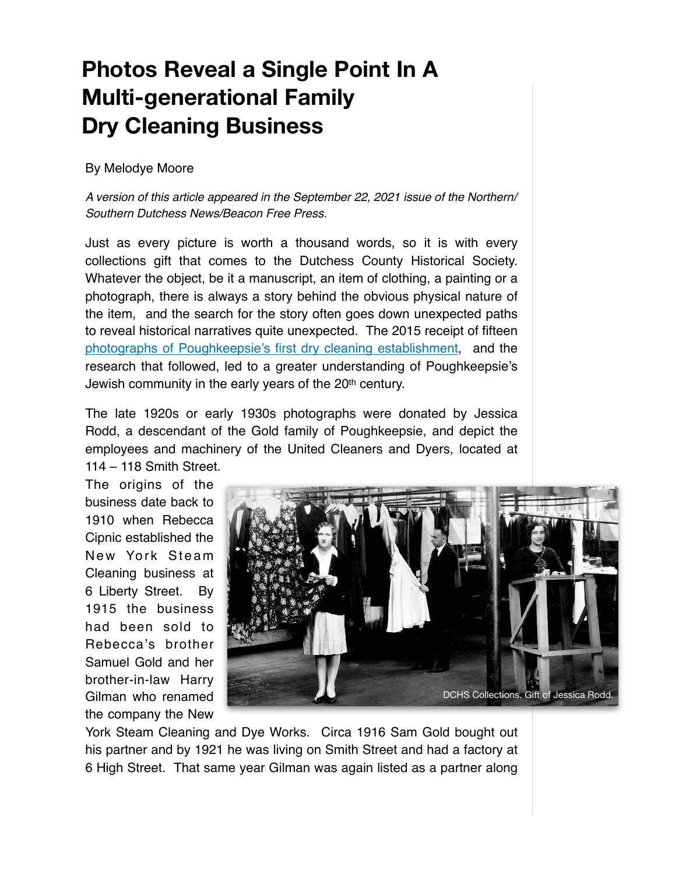## **Photos Reveal a Single Point In A Multi-generational Family Dry Cleaning Business**

## By Melodye Moore

A version of this article appeared in the September 22, 2021 issue of the Northern/ Southern Dutchess News/Beacon Free Press.

Just as every picture is worth a thousand words, so it is with every collections gift that comes to the Dutchess County Historical Society. Whatever the object, be it a manuscript, an item of clothing, a painting or a photograph, there is always a story behind the obvious physical nature of the item, and the search for the story often goes down unexpected paths to reveal historical narratives quite unexpected. The 2015 receipt of fifteen [photographs of Poughkeepsie's first dry cleaning establishment,](https://photos.app.goo.gl/waN2NvVZcgVKM82EA) and the research that followed, led to a greater understanding of Poughkeepsie's Jewish community in the early years of the 20th century.

The late 1920s or early 1930s photographs were donated by Jessica Rodd, a descendant of the Gold family of Poughkeepsie, and depict the employees and machinery of the United Cleaners and Dyers, located at 114 – 118 Smith Street.

The origins of the business date back to 1910 when Rebecca Cipnic established the New York Steam Cleaning business at 6 Liberty Street. By 1915 the business had been sold to Rebecca's brother Samuel Gold and her brother-in-law Harry Gilman who renamed the company the New



York Steam Cleaning and Dye Works. Circa 1916 Sam Gold bought out his partner and by 1921 he was living on Smith Street and had a factory at 6 High Street. That same year Gilman was again listed as a partner along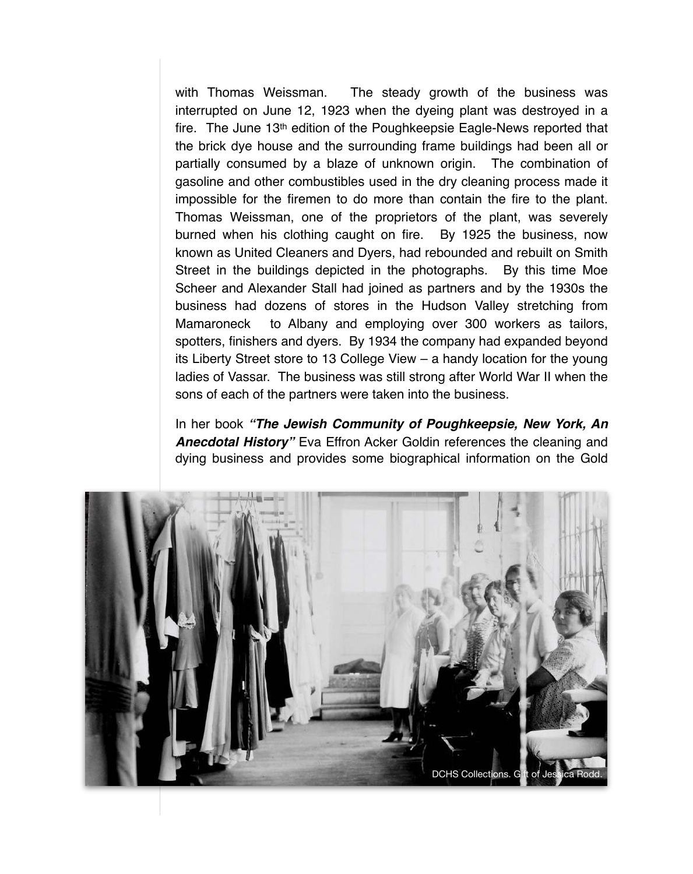with Thomas Weissman. The steady growth of the business was interrupted on June 12, 1923 when the dyeing plant was destroyed in a fire. The June 13th edition of the Poughkeepsie Eagle-News reported that the brick dye house and the surrounding frame buildings had been all or partially consumed by a blaze of unknown origin. The combination of gasoline and other combustibles used in the dry cleaning process made it impossible for the firemen to do more than contain the fire to the plant. Thomas Weissman, one of the proprietors of the plant, was severely burned when his clothing caught on fire. By 1925 the business, now known as United Cleaners and Dyers, had rebounded and rebuilt on Smith Street in the buildings depicted in the photographs. By this time Moe Scheer and Alexander Stall had joined as partners and by the 1930s the business had dozens of stores in the Hudson Valley stretching from Mamaroneck to Albany and employing over 300 workers as tailors, spotters, finishers and dyers. By 1934 the company had expanded beyond its Liberty Street store to 13 College View – a handy location for the young ladies of Vassar. The business was still strong after World War II when the sons of each of the partners were taken into the business.

In her book **"The Jewish Community of Poughkeepsie, New York, An Anecdotal History"** Eva Effron Acker Goldin references the cleaning and dying business and provides some biographical information on the Gold

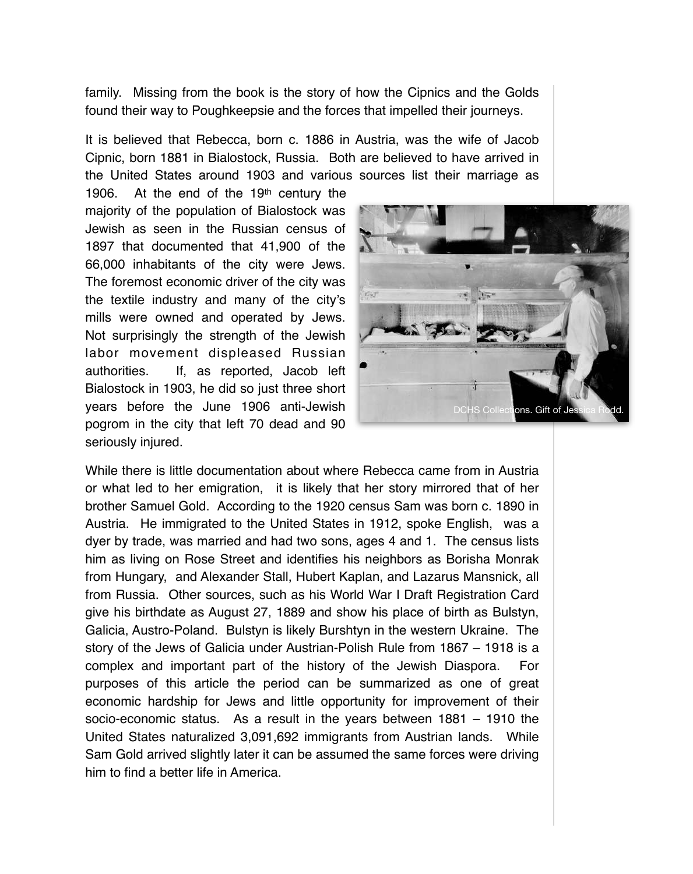family. Missing from the book is the story of how the Cipnics and the Golds found their way to Poughkeepsie and the forces that impelled their journeys.

It is believed that Rebecca, born c. 1886 in Austria, was the wife of Jacob Cipnic, born 1881 in Bialostock, Russia. Both are believed to have arrived in the United States around 1903 and various sources list their marriage as

1906. At the end of the 19th century the majority of the population of Bialostock was Jewish as seen in the Russian census of 1897 that documented that 41,900 of the 66,000 inhabitants of the city were Jews. The foremost economic driver of the city was the textile industry and many of the city's mills were owned and operated by Jews. Not surprisingly the strength of the Jewish labor movement displeased Russian authorities. If, as reported, Jacob left Bialostock in 1903, he did so just three short years before the June 1906 anti-Jewish pogrom in the city that left 70 dead and 90 seriously injured.



While there is little documentation about where Rebecca came from in Austria or what led to her emigration, it is likely that her story mirrored that of her brother Samuel Gold. According to the 1920 census Sam was born c. 1890 in Austria. He immigrated to the United States in 1912, spoke English, was a dyer by trade, was married and had two sons, ages 4 and 1. The census lists him as living on Rose Street and identifies his neighbors as Borisha Monrak from Hungary, and Alexander Stall, Hubert Kaplan, and Lazarus Mansnick, all from Russia. Other sources, such as his World War I Draft Registration Card give his birthdate as August 27, 1889 and show his place of birth as Bulstyn, Galicia, Austro-Poland. Bulstyn is likely Burshtyn in the western Ukraine. The story of the Jews of Galicia under Austrian-Polish Rule from 1867 – 1918 is a complex and important part of the history of the Jewish Diaspora. For purposes of this article the period can be summarized as one of great economic hardship for Jews and little opportunity for improvement of their socio-economic status. As a result in the years between 1881 – 1910 the United States naturalized 3,091,692 immigrants from Austrian lands. While Sam Gold arrived slightly later it can be assumed the same forces were driving him to find a better life in America.